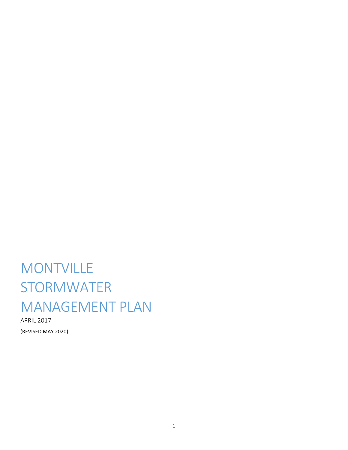# **MONTVILLE STORMWATER** MANAGEMENT PLAN

APRIL 2017 (REVISED MAY 2020)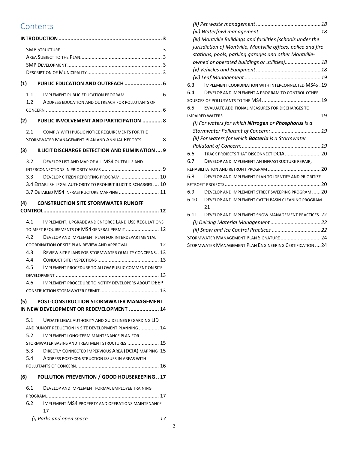# **Contents**

| (1)                                                                                                                                                                                                                    |  |
|------------------------------------------------------------------------------------------------------------------------------------------------------------------------------------------------------------------------|--|
| 1.1<br>1.2<br>ADDRESS EDUCATION AND OUTREACH FOR POLLUTANTS OF                                                                                                                                                         |  |
| (2) PUBLIC INVOLVEMENT AND PARTICIPATION  8                                                                                                                                                                            |  |
| 2.1<br>COMPLY WITH PUBLIC NOTICE REQUIREMENTS FOR THE<br>STORMWATER MANAGEMENT PLAN AND ANNUAL REPORTS 8                                                                                                               |  |
| <b>ILLICIT DISCHARGE DETECTION AND ELIMINATION  9</b><br>(3)                                                                                                                                                           |  |
| 3.2<br>DEVELOP LIST AND MAP OF ALL MS4 OUTFALLS AND<br>3.3<br>DEVELOP CITIZEN REPORTING PROGRAM  10<br>3.4 ESTABLISH LEGAL AUTHORITY TO PROHIBIT ILLICIT DISCHARGES  10<br>3.7 DETAILED MS4 INFRASTRUCTURE MAPPING  11 |  |
| (4) CONSTRUCTION SITE STORMWATER RUNOFF                                                                                                                                                                                |  |
|                                                                                                                                                                                                                        |  |
| 4.1<br>IMPLEMENT, UPGRADE AND ENFORCE LAND USE REGULATIONS<br>TO MEET REQUIREMENTS OF MS4 GENERAL PERMIT  12<br>4.2<br>DEVELOP AND IMPLEMENT PLAN FOR INTERDEPARTMENTAL                                                |  |
| COORDINATION OF SITE PLAN REVIEW AND APPROVAL  12<br>4.3<br>REVIEW SITE PLANS FOR STORMWATER QUALITY CONCERNS 13<br>4.4                                                                                                |  |
| 4.5<br>IMPLEMENT PROCEDURE TO ALLOW PUBLIC COMMENT ON SITE                                                                                                                                                             |  |
| 4.6<br>IMPLEMENT PROCEDURE TO NOTIFY DEVELOPERS ABOUT DEEP                                                                                                                                                             |  |
| POST-CONSTRUCTION STORMWATER MANAGEMENT<br>(5)                                                                                                                                                                         |  |
| IN NEW DEVELOPMENT OR REDEVELOPMENT  14                                                                                                                                                                                |  |
| 5.1<br>UPDATE LEGAL AUTHORITY AND GUIDELINES REGARDING LID<br>AND RUNOFF REDUCTION IN SITE DEVELOPMENT PLANNING  14<br>5.2<br><b>IMPLEMENT LONG-TERM MAINTENANCE PLAN FOR</b>                                          |  |
| STORMWATER BASINS AND TREATMENT STRUCTURES  15<br>DIRECTLY CONNECTED IMPERVIOUS AREA (DCIA) MAPPING 15<br>5.3<br>5.4<br>ADDRESS POST-CONSTRUCTION ISSUES IN AREAS WITH                                                 |  |
| (6)<br>POLLUTION PREVENTION / GOOD HOUSEKEEPING 17                                                                                                                                                                     |  |
| 6.1<br>DEVELOP AND IMPLEMENT FORMAL EMPLOYEE TRAINING                                                                                                                                                                  |  |
|                                                                                                                                                                                                                        |  |
| 6.2<br>IMPLEMENT MS4 PROPERTY AND OPERATIONS MAINTENANCE<br>17                                                                                                                                                         |  |
|                                                                                                                                                                                                                        |  |

|      | (iv) Montville Buildings and facilities (schools under the    |
|------|---------------------------------------------------------------|
|      | jurisdiction of Montville, Montville offices, police and fire |
|      | stations, pools, parking garages and other Montville-         |
|      | owned or operated buildings or utilities) 18                  |
|      |                                                               |
|      |                                                               |
| 6.3  | <b>IMPLEMENT COORDINATION WITH INTERCONNECTED MS4s.19</b>     |
| 6.4  | DEVELOP AND IMPLEMENT A PROGRAM TO CONTROL OTHER              |
|      |                                                               |
| 6.5  | EVALUATE ADDITIONAL MEASURES FOR DISCHARGES TO                |
|      |                                                               |
|      | (i) For waters for which Nitrogen or Phosphorus is a          |
|      |                                                               |
|      | (ii) For waters for which <b>Bacteria</b> is a Stormwater     |
|      |                                                               |
| 6.6  |                                                               |
| 6.7  | DEVELOP AND IMPLEMENT AN INFRASTRUCTURE REPAIR,               |
|      |                                                               |
| 6.8  | DEVELOP AND IMPLEMENT PLAN TO IDENTIFY AND PRIORITIZE         |
|      |                                                               |
| 6.9  | DEVELOP AND IMPLEMENT STREET SWEEPING PROGRAM  20             |
| 6.10 | DEVELOP AND IMPLEMENT CATCH BASIN CLEANING PROGRAM            |
|      | 21                                                            |
| 6.11 | DEVELOP AND IMPLEMENT SNOW MANAGEMENT PRACTICES, 22           |
|      |                                                               |
|      |                                                               |
|      | STORMWATER MANAGEMENT PLAN SIGNATURE  24                      |
|      | STORMWATER MANAGEMENT PLAN ENGINEERING CERTIFICATION  24      |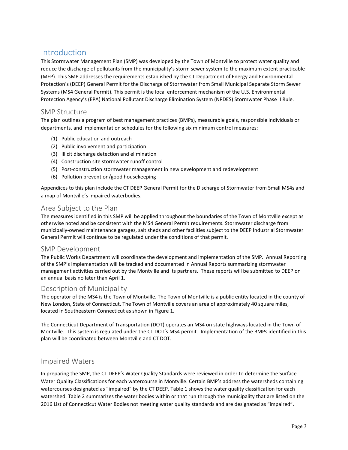# <span id="page-2-0"></span>Introduction

This Stormwater Management Plan (SMP) was developed by the Town of Montville to protect water quality and reduce the discharge of pollutants from the municipality's storm sewer system to the maximum extent practicable (MEP). This SMP addresses the requirements established by the CT Department of Energy and Environmental Protection's (DEEP) General Permit for the Discharge of Stormwater from Small Municipal Separate Storm Sewer Systems (MS4 General Permit). This permit is the local enforcement mechanism of the U.S. Environmental Protection Agency's (EPA) National Pollutant Discharge Elimination System (NPDES) Stormwater Phase II Rule.

#### <span id="page-2-1"></span>SMP Structure

The plan outlines a program of best management practices (BMPs), measurable goals, responsible individuals or departments, and implementation schedules for the following six minimum control measures:

- (1) Public education and outreach
- (2) Public involvement and participation
- (3) Illicit discharge detection and elimination
- (4) Construction site stormwater runoff control
- (5) Post-construction stormwater management in new development and redevelopment
- (6) Pollution prevention/good housekeeping

Appendices to this plan include the CT DEEP General Permit for the Discharge of Stormwater from Small MS4s and a map of Montville's impaired waterbodies.

#### <span id="page-2-2"></span>Area Subject to the Plan

The measures identified in this SMP will be applied throughout the boundaries of the Town of Montville except as otherwise noted and be consistent with the MS4 General Permit requirements. Stormwater discharge from municipally-owned maintenance garages, salt sheds and other facilities subject to the DEEP Industrial Stormwater General Permit will continue to be regulated under the conditions of that permit.

#### <span id="page-2-3"></span>SMP Development

The Public Works Department will coordinate the development and implementation of the SMP. Annual Reporting of the SMP's implementation will be tracked and documented in Annual Reports summarizing stormwater management activities carried out by the Montville and its partners. These reports will be submitted to DEEP on an annual basis no later than April 1.

#### <span id="page-2-4"></span>Description of Municipality

The operator of the MS4 is the Town of Montville. The Town of Montville is a public entity located in the county of New London, State of Connecticut. The Town of Montville covers an area of approximately 40 square miles, located in Southeastern Connecticut as shown in Figure 1.

The Connecticut Department of Transportation (DOT) operates an MS4 on state highways located in the Town of Montville. This system is regulated under the CT DOT's MS4 permit. Implementation of the BMPs identified in this plan will be coordinated between Montville and CT DOT.

#### Impaired Waters

In preparing the SMP, the CT DEEP's Water Quality Standards were reviewed in order to determine the Surface Water Quality Classifications for each watercourse in Montville. Certain BMP's address the watersheds containing watercourses designated as "impaired" by the CT DEEP. Table 1 shows the water quality classification for each watershed. Table 2 summarizes the water bodies within or that run through the municipality that are listed on the 2016 List of Connecticut Water Bodies not meeting water quality standards and are designated as "impaired".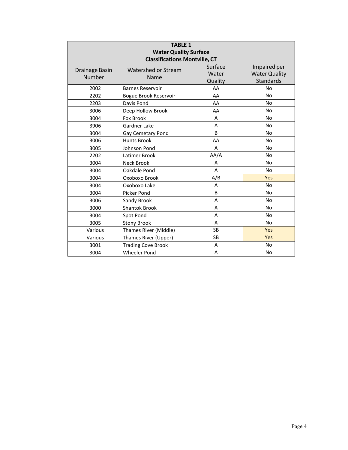| <b>TABLE 1</b><br><b>Water Quality Surface</b><br><b>Classifications Montville, CT</b> |                             |                             |                                                          |
|----------------------------------------------------------------------------------------|-----------------------------|-----------------------------|----------------------------------------------------------|
| Drainage Basin<br>Number                                                               | Watershed or Stream<br>Name | Surface<br>Water<br>Quality | Impaired per<br><b>Water Quality</b><br><b>Standards</b> |
| 2002                                                                                   | <b>Barnes Reservoir</b>     | AA                          | <b>No</b>                                                |
| 2202                                                                                   | Bogue Brook Reservoir       | AA                          | <b>No</b>                                                |
| 2203                                                                                   | Davis Pond                  | AA                          | <b>No</b>                                                |
| 3006                                                                                   | Deep Hollow Brook           | AA                          | N <sub>o</sub>                                           |
| 3004                                                                                   | Fox Brook                   | A                           | <b>No</b>                                                |
| 3906                                                                                   | Gardner Lake                | A                           | No                                                       |
| 3004                                                                                   | Gay Cemetary Pond           | B                           | <b>No</b>                                                |
| 3006                                                                                   | <b>Hunts Brook</b>          | AA                          | <b>No</b>                                                |
| 3005                                                                                   | Johnson Pond                | A                           | <b>No</b>                                                |
| 2202                                                                                   | Latimer Brook               | AA/A                        | <b>No</b>                                                |
| 3004                                                                                   | <b>Neck Brook</b>           | A                           | <b>No</b>                                                |
| 3004                                                                                   | Oakdale Pond                | A                           | <b>No</b>                                                |
| 3004                                                                                   | Oxoboxo Brook               | A/B                         | Yes                                                      |
| 3004                                                                                   | Oxoboxo Lake                | A                           | <b>No</b>                                                |
| 3004                                                                                   | Picker Pond                 | B                           | No                                                       |
| 3006                                                                                   | Sandy Brook                 | A                           | <b>No</b>                                                |
| 3000                                                                                   | <b>Shantok Brook</b>        | A                           | <b>No</b>                                                |
| 3004                                                                                   | Spot Pond                   | A                           | <b>No</b>                                                |
| 3005                                                                                   | <b>Stony Brook</b>          | A                           | No.                                                      |
| Various                                                                                | Thames River (Middle)       | <b>SB</b>                   | Yes                                                      |
| Various                                                                                | Thames River (Upper)        | <b>SB</b>                   | Yes                                                      |
| 3001                                                                                   | <b>Trading Cove Brook</b>   | A                           | <b>No</b>                                                |
| 3004                                                                                   | <b>Wheeler Pond</b>         | Α                           | <b>No</b>                                                |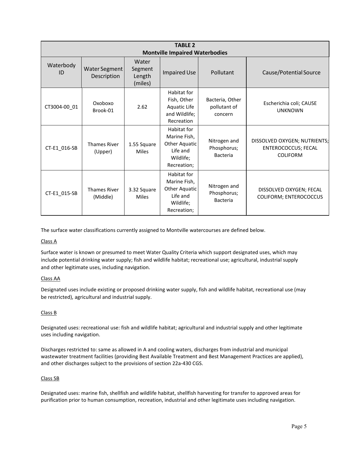| <b>TABLE 2</b><br><b>Montville Impaired Waterbodies</b> |                                 |                                       |                                                                                      |                                            |                                                                               |
|---------------------------------------------------------|---------------------------------|---------------------------------------|--------------------------------------------------------------------------------------|--------------------------------------------|-------------------------------------------------------------------------------|
| Waterbody<br>ID                                         | Water Segment<br>Description    | Water<br>Segment<br>Length<br>(miles) | <b>Impaired Use</b>                                                                  | Pollutant                                  | Cause/Potential Source                                                        |
| CT3004-00 01                                            | Oxoboxo<br>Brook-01             | 2.62                                  | Habitat for<br>Fish, Other<br>Aquatic Life<br>and Wildlife;<br>Recreation            | Bacteria, Other<br>pollutant of<br>concern | Escherichia coli; CAUSE<br><b>UNKNOWN</b>                                     |
| CT-E1_016-SB                                            | <b>Thames River</b><br>(Upper)  | 1.55 Square<br><b>Miles</b>           | Habitat for<br>Marine Fish,<br>Other Aquatic<br>Life and<br>Wildlife;<br>Recreation; | Nitrogen and<br>Phosphorus;<br>Bacteria    | DISSOLVED OXYGEN; NUTRIENTS;<br><b>ENTEROCOCCUS; FECAL</b><br><b>COLIFORM</b> |
| CT-E1_015-SB                                            | <b>Thames River</b><br>(Middle) | 3.32 Square<br><b>Miles</b>           | Habitat for<br>Marine Fish,<br>Other Aquatic<br>Life and<br>Wildlife;<br>Recreation; | Nitrogen and<br>Phosphorus;<br>Bacteria    | DISSOLVED OXYGEN; FECAL<br>COLIFORM; ENTEROCOCCUS                             |

The surface water classifications currently assigned to Montville watercourses are defined below.

#### Class A

Surface water is known or presumed to meet Water Quality Criteria which support designated uses, which may include potential drinking water supply; fish and wildlife habitat; recreational use; agricultural, industrial supply and other legitimate uses, including navigation.

#### Class AA

Designated uses include existing or proposed drinking water supply, fish and wildlife habitat, recreational use (may be restricted), agricultural and industrial supply.

#### Class B

Designated uses: recreational use: fish and wildlife habitat; agricultural and industrial supply and other legitimate uses including navigation.

Discharges restricted to: same as allowed in A and cooling waters, discharges from industrial and municipal wastewater treatment facilities (providing Best Available Treatment and Best Management Practices are applied), and other discharges subject to the provisions of section 22a-430 CGS.

#### Class SB

Designated uses: marine fish, shellfish and wildlife habitat, shellfish harvesting for transfer to approved areas for purification prior to human consumption, recreation, industrial and other legitimate uses including navigation.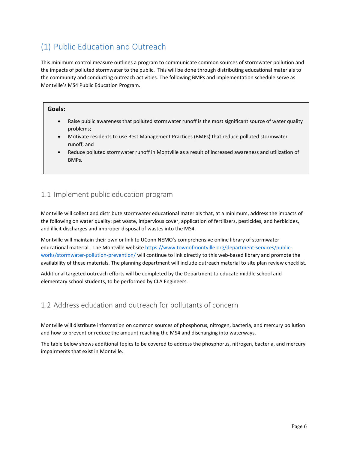# <span id="page-5-0"></span>(1) Public Education and Outreach

This minimum control measure outlines a program to communicate common sources of stormwater pollution and the impacts of polluted stormwater to the public. This will be done through distributing educational materials to the community and conducting outreach activities. The following BMPs and implementation schedule serve as Montville's MS4 Public Education Program.

#### **Goals:**

- Raise public awareness that polluted stormwater runoff is the most significant source of water quality problems;
- Motivate residents to use Best Management Practices (BMPs) that reduce polluted stormwater runoff; and
- Reduce polluted stormwater runoff in Montville as a result of increased awareness and utilization of BMPs*.*

# <span id="page-5-1"></span>1.1 Implement public education program

Montville will collect and distribute stormwater educational materials that, at a minimum, address the impacts of the following on water quality: pet waste, impervious cover, application of fertilizers, pesticides, and herbicides, and illicit discharges and improper disposal of wastes into the MS4.

Montville will maintain their own or link to UConn NEMO's comprehensive online library of stormwater educational material. The Montville website [https://www.townofmontville.org/department-services/public](https://www.townofmontville.org/department-services/public-works/stormwater-pollution-prevention/)[works/stormwater-pollution-prevention/](https://www.townofmontville.org/department-services/public-works/stormwater-pollution-prevention/) will continue to link directly to this web-based library and promote the availability of these materials. The planning department will include outreach material to site plan review checklist.

Additional targeted outreach efforts will be completed by the Department to educate middle school and elementary school students, to be performed by CLA Engineers.

# <span id="page-5-2"></span>1.2 Address education and outreach for pollutants of concern

Montville will distribute information on common sources of phosphorus, nitrogen, bacteria, and mercury pollution and how to prevent or reduce the amount reaching the MS4 and discharging into waterways.

The table below shows additional topics to be covered to address the phosphorus, nitrogen, bacteria, and mercury impairments that exist in Montville.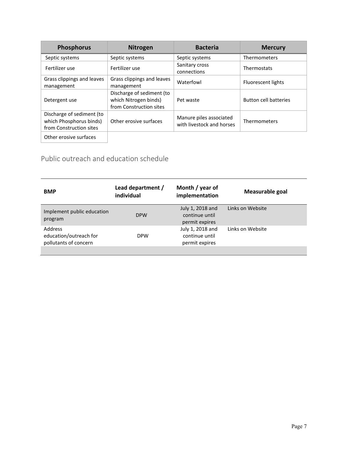| <b>Phosphorus</b>                                                               | <b>Nitrogen</b>                                                               | <b>Bacteria</b>                                      | <b>Mercury</b>               |
|---------------------------------------------------------------------------------|-------------------------------------------------------------------------------|------------------------------------------------------|------------------------------|
| Septic systems                                                                  | Septic systems                                                                | Septic systems                                       | Thermometers                 |
| Fertilizer use                                                                  | Fertilizer use                                                                | Sanitary cross<br>connections                        | Thermostats                  |
| Grass clippings and leaves<br>management                                        | Grass clippings and leaves<br>management                                      | Waterfowl                                            | Fluorescent lights           |
| Detergent use                                                                   | Discharge of sediment (to<br>which Nitrogen binds)<br>from Construction sites | Pet waste                                            | <b>Button cell batteries</b> |
| Discharge of sediment (to<br>which Phosphorus binds)<br>from Construction sites | Other erosive surfaces                                                        | Manure piles associated<br>with livestock and horses | Thermometers                 |
| Other erosive surfaces                                                          |                                                                               |                                                      |                              |

# Public outreach and education schedule

| <b>BMP</b>                                                 | Lead department /<br>individual | Month / year of<br>implementation                    | Measurable goal  |
|------------------------------------------------------------|---------------------------------|------------------------------------------------------|------------------|
| Implement public education<br>program                      | <b>DPW</b>                      | July 1, 2018 and<br>continue until<br>permit expires | Links on Website |
| Address<br>education/outreach for<br>pollutants of concern | <b>DPW</b>                      | July 1, 2018 and<br>continue until<br>permit expires | Links on Website |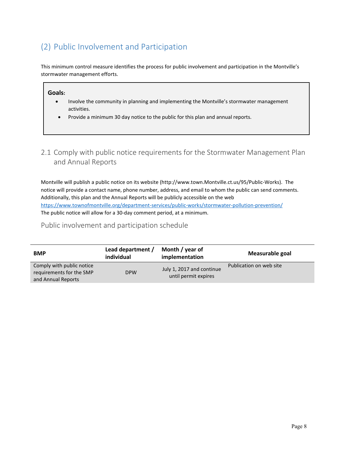# <span id="page-7-0"></span>(2) Public Involvement and Participation

This minimum control measure identifies the process for public involvement and participation in the Montville's stormwater management efforts.

#### **Goals:**

- Involve the community in planning and implementing the Montville's stormwater management activities.
- Provide a minimum 30 day notice to the public for this plan and annual reports.

# <span id="page-7-1"></span>2.1 Comply with public notice requirements for the Stormwater Management Plan and Annual Reports

Montville will publish a public notice on its website (http://www.town.Montville.ct.us/95/Public-Works). The notice will provide a contact name, phone number, address, and email to whom the public can send comments. Additionally, this plan and the Annual Reports will be publicly accessible on the web <https://www.townofmontville.org/department-services/public-works/stormwater-pollution-prevention/> The public notice will allow for a 30-day comment period, at a minimum.

### Public involvement and participation schedule

| <b>BMP</b>                                                                  | Lead department /<br>individual | Month / year of<br>implementation                 | Measurable goal         |
|-----------------------------------------------------------------------------|---------------------------------|---------------------------------------------------|-------------------------|
| Comply with public notice<br>requirements for the SMP<br>and Annual Reports | <b>DPW</b>                      | July 1, 2017 and continue<br>until permit expires | Publication on web site |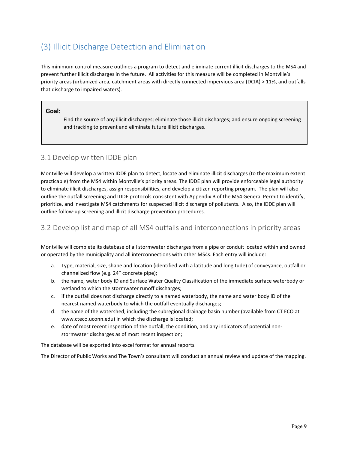# <span id="page-8-0"></span>(3) Illicit Discharge Detection and Elimination

This minimum control measure outlines a program to detect and eliminate current illicit discharges to the MS4 and prevent further illicit discharges in the future. All activities for this measure will be completed in Montville's priority areas (urbanized area, catchment areas with directly connected impervious area (DCIA) > 11%, and outfalls that discharge to impaired waters).

#### **Goal:**

Find the source of any illicit discharges; eliminate those illicit discharges; and ensure ongoing screening and tracking to prevent and eliminate future illicit discharges.

# 3.1 Develop written IDDE plan

Montville will develop a written IDDE plan to detect, locate and eliminate illicit discharges (to the maximum extent practicable) from the MS4 within Montville's priority areas. The IDDE plan will provide enforceable legal authority to eliminate illicit discharges, assign responsibilities, and develop a citizen reporting program. The plan will also outline the outfall screening and IDDE protocols consistent with Appendix B of the MS4 General Permit to identify, prioritize, and investigate MS4 catchments for suspected illicit discharge of pollutants. Also, the IDDE plan will outline follow-up screening and illicit discharge prevention procedures.

# <span id="page-8-1"></span>3.2 Develop list and map of all MS4 outfalls and interconnections in priority areas

Montville will complete its database of all stormwater discharges from a pipe or conduit located within and owned or operated by the municipality and all interconnections with other MS4s. Each entry will include:

- a. Type, material, size, shape and location (identified with a latitude and longitude) of conveyance, outfall or channelized flow (e.g. 24" concrete pipe);
- b. the name, water body ID and Surface Water Quality Classification of the immediate surface waterbody or wetland to which the stormwater runoff discharges;
- c. if the outfall does not discharge directly to a named waterbody, the name and water body ID of the nearest named waterbody to which the outfall eventually discharges;
- d. the name of the watershed, including the subregional drainage basin number (available from CT ECO at www.cteco.uconn.edu) in which the discharge is located;
- e. date of most recent inspection of the outfall, the condition, and any indicators of potential nonstormwater discharges as of most recent inspection;

The database will be exported into excel format for annual reports.

The Director of Public Works and The Town's consultant will conduct an annual review and update of the mapping.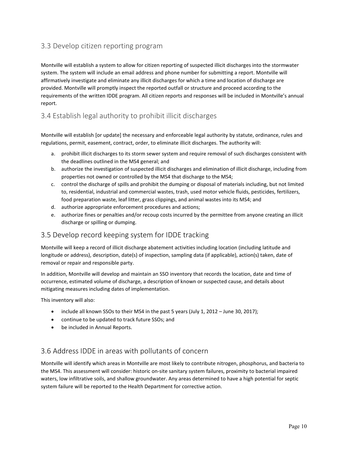# <span id="page-9-0"></span>3.3 Develop citizen reporting program

Montville will establish a system to allow for citizen reporting of suspected illicit discharges into the stormwater system. The system will include an email address and phone number for submitting a report. Montville will affirmatively investigate and eliminate any illicit discharges for which a time and location of discharge are provided. Montville will promptly inspect the reported outfall or structure and proceed according to the requirements of the written IDDE program. All citizen reports and responses will be included in Montville's annual report.

# <span id="page-9-1"></span>3.4 Establish legal authority to prohibit illicit discharges

Montville will establish [or update] the necessary and enforceable legal authority by statute, ordinance, rules and regulations, permit, easement, contract, order, to eliminate illicit discharges. The authority will:

- a. prohibit illicit discharges to its storm sewer system and require removal of such discharges consistent with the deadlines outlined in the MS4 general; and
- b. authorize the investigation of suspected illicit discharges and elimination of illicit discharge, including from properties not owned or controlled by the MS4 that discharge to the MS4;
- c. control the discharge of spills and prohibit the dumping or disposal of materials including, but not limited to, residential, industrial and commercial wastes, trash, used motor vehicle fluids, pesticides, fertilizers, food preparation waste, leaf litter, grass clippings, and animal wastes into its MS4; and
- d. authorize appropriate enforcement procedures and actions;
- e. authorize fines or penalties and/or recoup costs incurred by the permittee from anyone creating an illicit discharge or spilling or dumping.

# 3.5 Develop record keeping system for IDDE tracking

Montville will keep a record of illicit discharge abatement activities including location (including latitude and longitude or address), description, date(s) of inspection, sampling data (if applicable), action(s) taken, date of removal or repair and responsible party.

In addition, Montville will develop and maintain an SSO inventory that records the location, date and time of occurrence, estimated volume of discharge, a description of known or suspected cause, and details about mitigating measures including dates of implementation.

This inventory will also:

- include all known SSOs to their MS4 in the past 5 years (July 1, 2012 June 30, 2017);
- continue to be updated to track future SSOs; and
- be included in Annual Reports.

# 3.6 Address IDDE in areas with pollutants of concern

Montville will identify which areas in Montville are most likely to contribute nitrogen, phosphorus, and bacteria to the MS4. This assessment will consider: historic on-site sanitary system failures, proximity to bacterial impaired waters, low infiltrative soils, and shallow groundwater. Any areas determined to have a high potential for septic system failure will be reported to the Health Department for corrective action.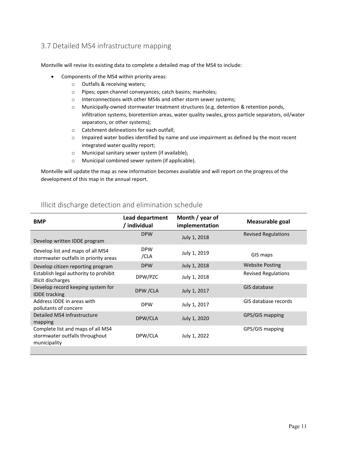# <span id="page-10-0"></span>3.7 Detailed MS4 infrastructure mapping

Montville will revise its existing data to complete a detailed map of the MS4 to include:

- Components of the MS4 within priority areas:
	- o Outfalls & receiving waters;
	- o Pipes; open channel conveyances; catch basins; manholes;
	- o Interconnections with other MS4s and other storm sewer systems;
	- o Municipally-owned stormwater treatment structures (e.g. detention & retention ponds, infiltration systems, bioretention areas, water quality swales, gross particle separators, oil/water separators, or other systems);
	- o Catchment delineations for each outfall;
	- o Impaired water bodies identified by name and use impairment as defined by the most recent integrated water quality report;
	- o Municipal sanitary sewer system (if available);
	- o Municipal combined sewer system (if applicable).

Montville will update the map as new information becomes available and will report on the progress of the development of this map in the annual report.

|                                                                                     | Lead department    | Month / year of |                            |
|-------------------------------------------------------------------------------------|--------------------|-----------------|----------------------------|
| <b>BMP</b>                                                                          | / individual       | implementation  | Measurable goal            |
| Develop written IDDE program                                                        | <b>DPW</b>         | July 1, 2018    | <b>Revised Regulations</b> |
| Develop list and maps of all MS4<br>stormwater outfalls in priority areas           | <b>DPW</b><br>/CLA | July 1, 2019    | GIS maps                   |
| Develop citizen reporting program                                                   | <b>DPW</b>         | July 1, 2018    | <b>Website Posting</b>     |
| Establish legal authority to prohibit<br>illicit discharges                         | DPW/PZC            | July 1, 2018    | <b>Revised Regulations</b> |
| Develop record keeping system for<br><b>IDDE</b> tracking                           | DPW / CLA          | July 1, 2017    | GIS database               |
| Address IDDE in areas with<br>pollutants of concern                                 | <b>DPW</b>         | July 1, 2017    | GIS database records       |
| Detailed MS4 infrastructure<br>mapping                                              | DPW/CLA            | July 1, 2020    | GPS/GIS mapping            |
| Complete list and maps of all MS4<br>stormwater outfalls throughout<br>municipality | DPW/CLA            | July 1, 2022    | GPS/GIS mapping            |
|                                                                                     |                    |                 |                            |

### Illicit discharge detection and elimination schedule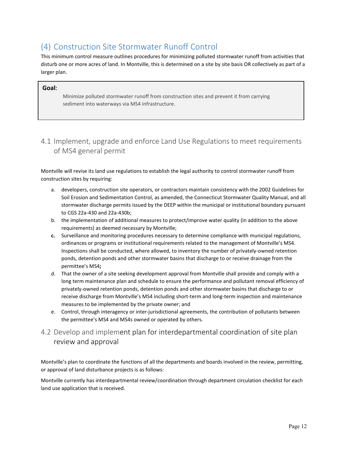# <span id="page-11-0"></span>(4) Construction Site Stormwater Runoff Control

This minimum control measure outlines procedures for minimizing polluted stormwater runoff from activities that disturb one or more acres of land. In Montville, this is determined on a site by site basis OR collectively as part of a larger plan.

#### **Goal:**

Minimize polluted stormwater runoff from construction sites and prevent it from carrying sediment into waterways via MS4 infrastructure.

# <span id="page-11-1"></span>4.1 Implement, upgrade and enforce Land Use Regulations to meet requirements of MS4 general permit

Montville will revise its land use regulations to establish the legal authority to control stormwater runoff from construction sites by requiring:

- a. developers, construction site operators, or contractors maintain consistency with the 2002 Guidelines for Soil Erosion and Sedimentation Control, as amended, the Connecticut Stormwater Quality Manual, and all stormwater discharge permits issued by the DEEP within the municipal or institutional boundary pursuant to CGS 22a-430 and 22a-430b;
- b. the implementation of additional measures to protect/improve water quality (in addition to the above requirements) as deemed necessary by Montville;
- **c.** Surveillance and monitoring procedures necessary to determine compliance with municipal regulations, ordinances or programs or institutional requirements related to the management of Montville's MS4. Inspections shall be conducted, where allowed, to inventory the number of privately-owned retention ponds, detention ponds and other stormwater basins that discharge to or receive drainage from the permittee's MS4**;**
- d. That the owner of a site seeking development approval from Montville shall provide and comply with a long term maintenance plan and schedule to ensure the performance and pollutant removal efficiency of privately-owned retention ponds, detention ponds and other stormwater basins that discharge to or receive discharge from Montville's MS4 including short-term and long-term inspection and maintenance measures to be implemented by the private owner; and
- e. Control, through interagency or inter-jurisdictional agreements, the contribution of pollutants between the permittee's MS4 and MS4s owned or operated by others.

# <span id="page-11-2"></span>4.2 Develop and implement plan for interdepartmental coordination of site plan review and approval

Montville's plan to coordinate the functions of all the departments and boards involved in the review, permitting, or approval of land disturbance projects is as follows:

Montville currently has interdepartmental review/coordination through department circulation checklist for each land use application that is received.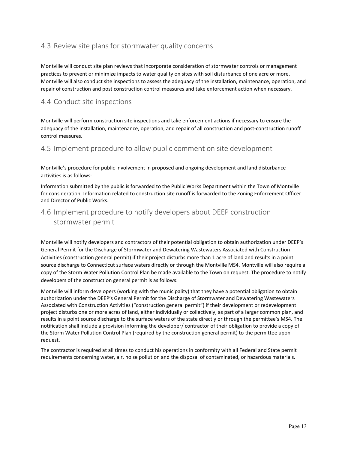# <span id="page-12-0"></span>4.3 Review site plans for stormwater quality concerns

Montville will conduct site plan reviews that incorporate consideration of stormwater controls or management practices to prevent or minimize impacts to water quality on sites with soil disturbance of one acre or more. Montville will also conduct site inspections to assess the adequacy of the installation, maintenance, operation, and repair of construction and post construction control measures and take enforcement action when necessary.

### <span id="page-12-1"></span>4.4 Conduct site inspections

Montville will perform construction site inspections and take enforcement actions if necessary to ensure the adequacy of the installation, maintenance, operation, and repair of all construction and post-construction runoff control measures.

<span id="page-12-2"></span>4.5 Implement procedure to allow public comment on site development

Montville's procedure for public involvement in proposed and ongoing development and land disturbance activities is as follows:

Information submitted by the public is forwarded to the Public Works Department within the Town of Montville for consideration. Information related to construction site runoff is forwarded to the Zoning Enforcement Officer and Director of Public Works.

# <span id="page-12-3"></span>4.6 Implement procedure to notify developers about DEEP construction stormwater permit

Montville will notify developers and contractors of their potential obligation to obtain authorization under DEEP's General Permit for the Discharge of Stormwater and Dewatering Wastewaters Associated with Construction Activities (construction general permit) if their project disturbs more than 1 acre of land and results in a point source discharge to Connecticut surface waters directly or through the Montville MS4. Montville will also require a copy of the Storm Water Pollution Control Plan be made available to the Town on request. The procedure to notify developers of the construction general permit is as follows:

Montville will inform developers (working with the municipality) that they have a potential obligation to obtain authorization under the DEEP's General Permit for the Discharge of Stormwater and Dewatering Wastewaters Associated with Construction Activities ("construction general permit") if their development or redevelopment project disturbs one or more acres of land, either individually or collectively, as part of a larger common plan, and results in a point source discharge to the surface waters of the state directly or through the permittee's MS4. The notification shall include a provision informing the developer/ contractor of their obligation to provide a copy of the Storm Water Pollution Control Plan (required by the construction general permit) to the permittee upon request.

The contractor is required at all times to conduct his operations in conformity with all Federal and State permit requirements concerning water, air, noise pollution and the disposal of contaminated, or hazardous materials.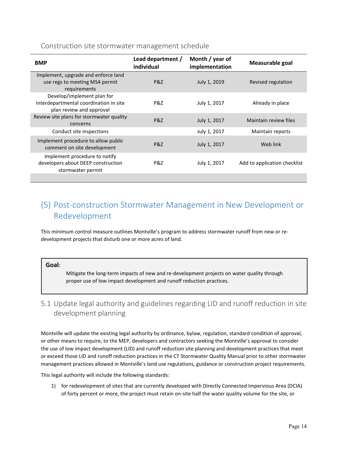### Construction site stormwater management schedule

| <b>BMP</b>                                                                                       | Lead department /<br>individual | Month / year of<br>implementation | Measurable goal              |
|--------------------------------------------------------------------------------------------------|---------------------------------|-----------------------------------|------------------------------|
| Implement, upgrade and enforce land<br>use regs to meeting MS4 permit<br>requirements            | P&Z                             | July 1, 2019                      | Revised regulation           |
| Develop/implement plan for<br>interdepartmental coordination in site<br>plan review and approval | P&Z                             | July 1, 2017                      | Already in place             |
| Review site plans for stormwater quality<br>concerns                                             | P&Z                             | July 1, 2017                      | Maintain review files        |
| Conduct site inspections                                                                         |                                 | July 1, 2017                      | Maintain reports             |
| Implement procedure to allow public<br>comment on site development                               | P&Z                             | July 1, 2017                      | Web link                     |
| Implement procedure to notify<br>developers about DEEP construction<br>stormwater permit         | P&Z                             | July 1, 2017                      | Add to application checklist |
|                                                                                                  |                                 |                                   |                              |

# <span id="page-13-0"></span>(5) Post-construction Stormwater Management in New Development or Redevelopment

This minimum control measure outlines Montville's program to address stormwater runoff from new or redevelopment projects that disturb one or more acres of land.

#### **Goal:**

Mitigate the long-term impacts of new and re-development projects on water quality through proper use of low impact development and runoff reduction practices.

# <span id="page-13-1"></span>5.1 Update legal authority and guidelines regarding LID and runoff reduction in site development planning

Montville will update the existing legal authority by ordinance, bylaw, regulation, standard condition of approval, or other means to require, to the MEP, developers and contractors seeking the Montville's approval to consider the use of low impact development (LID) and runoff reduction site planning and development practices that meet or exceed those LID and runoff reduction practices in the CT Stormwater Quality Manual prior to other stormwater management practices allowed in Montville's land use regulations, guidance or construction project requirements.

This legal authority will include the following standards:

1) for redevelopment of sites that are currently developed with Directly Connected Impervious Area (DCIA) of forty percent or more, the project must retain on-site half the water quality volume for the site, or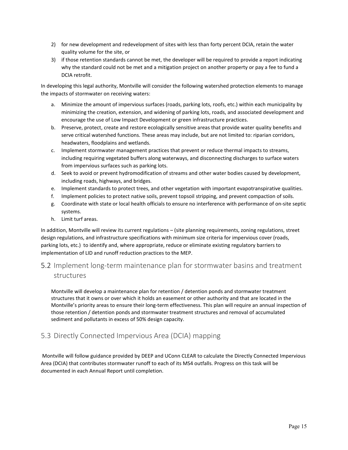- 2) for new development and redevelopment of sites with less than forty percent DCIA, retain the water quality volume for the site, or
- 3) if those retention standards cannot be met, the developer will be required to provide a report indicating why the standard could not be met and a mitigation project on another property or pay a fee to fund a DCIA retrofit.

In developing this legal authority, Montville will consider the following watershed protection elements to manage the impacts of stormwater on receiving waters:

- a. Minimize the amount of impervious surfaces (roads, parking lots, roofs, etc.) within each municipality by minimizing the creation, extension, and widening of parking lots, roads, and associated development and encourage the use of Low Impact Development or green infrastructure practices.
- b. Preserve, protect, create and restore ecologically sensitive areas that provide water quality benefits and serve critical watershed functions. These areas may include, but are not limited to: riparian corridors, headwaters, floodplains and wetlands.
- c. Implement stormwater management practices that prevent or reduce thermal impacts to streams, including requiring vegetated buffers along waterways, and disconnecting discharges to surface waters from impervious surfaces such as parking lots.
- d. Seek to avoid or prevent hydromodification of streams and other water bodies caused by development, including roads, highways, and bridges.
- e. Implement standards to protect trees, and other vegetation with important evapotranspirative qualities.
- f. Implement policies to protect native soils, prevent topsoil stripping, and prevent compaction of soils.
- g. Coordinate with state or local health officials to ensure no interference with performance of on-site septic systems.
- h. Limit turf areas.

In addition, Montville will review its current regulations – (site planning requirements, zoning regulations, street design regulations, and infrastructure specifications with minimum size criteria for impervious cover (roads, parking lots, etc.) to identify and, where appropriate, reduce or eliminate existing regulatory barriers to implementation of LID and runoff reduction practices to the MEP.

<span id="page-14-0"></span>5.2 Implement long-term maintenance plan for stormwater basins and treatment structures

Montville will develop a maintenance plan for retention / detention ponds and stormwater treatment structures that it owns or over which it holds an easement or other authority and that are located in the Montville's priority areas to ensure their long-term effectiveness. This plan will require an annual inspection of those retention / detention ponds and stormwater treatment structures and removal of accumulated sediment and pollutants in excess of 50% design capacity.

# <span id="page-14-1"></span>5.3 Directly Connected Impervious Area (DCIA) mapping

Montville will follow guidance provided by DEEP and UConn CLEAR to calculate the Directly Connected Impervious Area (DCIA) that contributes stormwater runoff to each of its MS4 outfalls. Progress on this task will be documented in each Annual Report until completion.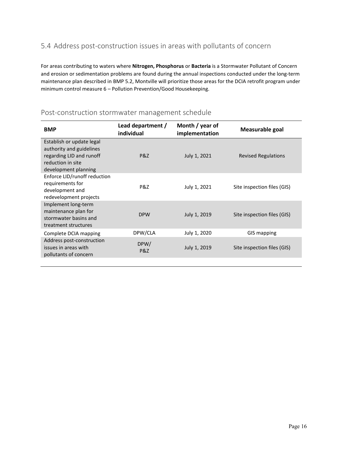# <span id="page-15-0"></span>5.4 Address post-construction issues in areas with pollutants of concern

For areas contributing to waters where **Nitrogen, Phosphorus** or **Bacteria** is a Stormwater Pollutant of Concern and erosion or sedimentation problems are found during the annual inspections conducted under the long-term maintenance plan described in BMP 5.2, Montville will prioritize those areas for the DCIA retrofit program under minimum control measure 6 – Pollution Prevention/Good Housekeeping.

| <b>BMP</b>                                                                                                                     | Lead department /<br>individual | Month / year of<br>implementation | Measurable goal             |
|--------------------------------------------------------------------------------------------------------------------------------|---------------------------------|-----------------------------------|-----------------------------|
| Establish or update legal<br>authority and guidelines<br>regarding LID and runoff<br>reduction in site<br>development planning | P&Z                             | July 1, 2021                      | <b>Revised Regulations</b>  |
| Enforce LID/runoff reduction<br>requirements for<br>development and<br>redevelopment projects                                  | P&Z                             | July 1, 2021                      | Site inspection files (GIS) |
| Implement long-term<br>maintenance plan for<br>stormwater basins and<br>treatment structures                                   | <b>DPW</b>                      | July 1, 2019                      | Site inspection files (GIS) |
| Complete DCIA mapping                                                                                                          | DPW/CLA                         | July 1, 2020                      | GIS mapping                 |
| Address post-construction<br>issues in areas with<br>pollutants of concern                                                     | DPW/<br>P&Z                     | July 1, 2019                      | Site inspection files (GIS) |

### Post-construction stormwater management schedule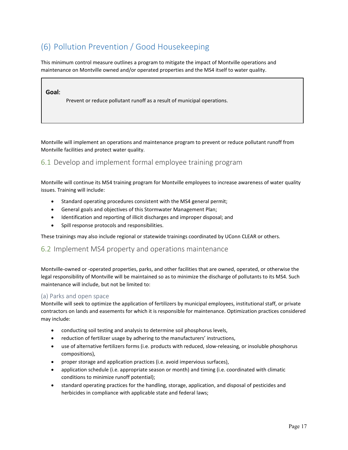# <span id="page-16-0"></span>(6) Pollution Prevention / Good Housekeeping

This minimum control measure outlines a program to mitigate the impact of Montville operations and maintenance on Montville owned and/or operated properties and the MS4 itself to water quality.

#### **Goal:**

Prevent or reduce pollutant runoff as a result of municipal operations.

Montville will implement an operations and maintenance program to prevent or reduce pollutant runoff from Montville facilities and protect water quality.

# <span id="page-16-1"></span>6.1 Develop and implement formal employee training program

Montville will continue its MS4 training program for Montville employees to increase awareness of water quality issues. Training will include:

- Standard operating procedures consistent with the MS4 general permit;
- General goals and objectives of this Stormwater Management Plan;
- Identification and reporting of illicit discharges and improper disposal; and
- Spill response protocols and responsibilities.

These trainings may also include regional or statewide trainings coordinated by UConn CLEAR or others.

#### <span id="page-16-2"></span>6.2 Implement MS4 property and operations maintenance

Montville-owned or -operated properties, parks, and other facilities that are owned, operated, or otherwise the legal responsibility of Montville will be maintained so as to minimize the discharge of pollutants to its MS4. Such maintenance will include, but not be limited to:

#### <span id="page-16-3"></span>(a) Parks and open space

Montville will seek to optimize the application of fertilizers by municipal employees, institutional staff, or private contractors on lands and easements for which it is responsible for maintenance. Optimization practices considered may include:

- conducting soil testing and analysis to determine soil phosphorus levels,
- reduction of fertilizer usage by adhering to the manufacturers' instructions,
- use of alternative fertilizers forms (i.e. products with reduced, slow-releasing, or insoluble phosphorus compositions),
- proper storage and application practices (i.e. avoid impervious surfaces),
- application schedule (i.e. appropriate season or month) and timing (i.e. coordinated with climatic conditions to minimize runoff potential);
- standard operating practices for the handling, storage, application, and disposal of pesticides and herbicides in compliance with applicable state and federal laws;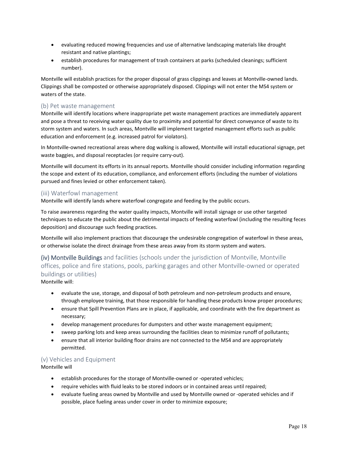- evaluating reduced mowing frequencies and use of alternative landscaping materials like drought resistant and native plantings;
- establish procedures for management of trash containers at parks (scheduled cleanings; sufficient number).

Montville will establish practices for the proper disposal of grass clippings and leaves at Montville-owned lands. Clippings shall be composted or otherwise appropriately disposed. Clippings will not enter the MS4 system or waters of the state.

#### <span id="page-17-0"></span>(b) Pet waste management

Montville will identify locations where inappropriate pet waste management practices are immediately apparent and pose a threat to receiving water quality due to proximity and potential for direct conveyance of waste to its storm system and waters. In such areas, Montville will implement targeted management efforts such as public education and enforcement (e.g. increased patrol for violators).

In Montville-owned recreational areas where dog walking is allowed, Montville will install educational signage, pet waste baggies, and disposal receptacles (or require carry-out).

Montville will document its efforts in its annual reports. Montville should consider including information regarding the scope and extent of its education, compliance, and enforcement efforts (including the number of violations pursued and fines levied or other enforcement taken).

#### <span id="page-17-1"></span>(iii) Waterfowl management

Montville will identify lands where waterfowl congregate and feeding by the public occurs.

To raise awareness regarding the water quality impacts, Montville will install signage or use other targeted techniques to educate the public about the detrimental impacts of feeding waterfowl (including the resulting feces deposition) and discourage such feeding practices.

Montville will also implement practices that discourage the undesirable congregation of waterfowl in these areas, or otherwise isolate the direct drainage from these areas away from its storm system and waters.

<span id="page-17-2"></span>(iv) Montville Buildings and facilities (schools under the jurisdiction of Montville, Montville offices, police and fire stations, pools, parking garages and other Montville-owned or operated buildings or utilities)

Montville will:

- evaluate the use, storage, and disposal of both petroleum and non-petroleum products and ensure, through employee training, that those responsible for handling these products know proper procedures;
- ensure that Spill Prevention Plans are in place, if applicable, and coordinate with the fire department as necessary;
- develop management procedures for dumpsters and other waste management equipment;
- sweep parking lots and keep areas surrounding the facilities clean to minimize runoff of pollutants;
- ensure that all interior building floor drains are not connected to the MS4 and are appropriately permitted.

#### <span id="page-17-3"></span>(v) Vehicles and Equipment

Montville will

- establish procedures for the storage of Montville-owned or -operated vehicles;
- require vehicles with fluid leaks to be stored indoors or in contained areas until repaired;
- evaluate fueling areas owned by Montville and used by Montville owned or -operated vehicles and if possible, place fueling areas under cover in order to minimize exposure;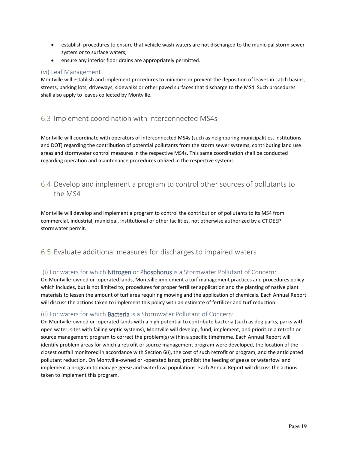- establish procedures to ensure that vehicle wash waters are not discharged to the municipal storm sewer system or to surface waters;
- ensure any interior floor drains are appropriately permitted.

#### <span id="page-18-0"></span>(vi) Leaf Management

Montville will establish and implement procedures to minimize or prevent the deposition of leaves in catch basins, streets, parking lots, driveways, sidewalks or other paved surfaces that discharge to the MS4. Such procedures shall also apply to leaves collected by Montville.

# <span id="page-18-1"></span>6.3 Implement coordination with interconnected MS4s

Montville will coordinate with operators of interconnected MS4s (such as neighboring municipalities, institutions and DOT) regarding the contribution of potential pollutants from the storm sewer systems, contributing land use areas and stormwater control measures in the respective MS4s. This same coordination shall be conducted regarding operation and maintenance procedures utilized in the respective systems.

# <span id="page-18-2"></span>6.4 Develop and implement a program to control other sources of pollutants to the MS4

Montville will develop and implement a program to control the contribution of pollutants to its MS4 from commercial, industrial, municipal, institutional or other facilities, not otherwise authorized by a CT DEEP stormwater permit.

# <span id="page-18-3"></span>6.5 Evaluate additional measures for discharges to impaired waters

#### <span id="page-18-4"></span>(i) For waters for which Nitrogen or Phosphorus is a Stormwater Pollutant of Concern:

On Montville-owned or -operated lands, Montville implement a turf management practices and procedures policy which includes, but is not limited to, procedures for proper fertilizer application and the planting of native plant materials to lessen the amount of turf area requiring mowing and the application of chemicals. Each Annual Report will discuss the actions taken to implement this policy with an estimate of fertilizer and turf reduction.

#### <span id="page-18-5"></span>(ii) For waters for which Bacteria is a Stormwater Pollutant of Concern:

On Montville-owned or -operated lands with a high potential to contribute bacteria (such as dog parks, parks with open water, sites with failing septic systems), Montville will develop, fund, implement, and prioritize a retrofit or source management program to correct the problem(s) within a specific timeframe. Each Annual Report will identify problem areas for which a retrofit or source management program were developed, the location of the closest outfall monitored in accordance with Section 6(*i*), the cost of such retrofit or program, and the anticipated pollutant reduction. On Montville-owned or -operated lands, prohibit the feeding of geese or waterfowl and implement a program to manage geese and waterfowl populations. Each Annual Report will discuss the actions taken to implement this program.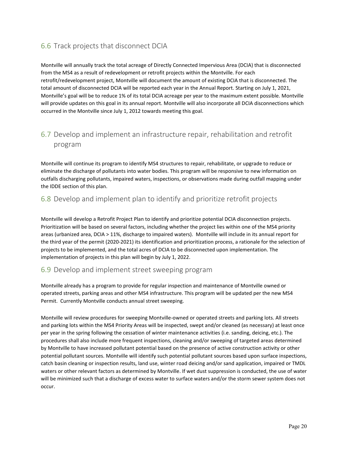# <span id="page-19-0"></span>6.6 Track projects that disconnect DCIA

Montville will annually track the total acreage of Directly Connected Impervious Area (DCIA) that is disconnected from the MS4 as a result of redevelopment or retrofit projects within the Montville. For each retrofit/redevelopment project, Montville will document the amount of existing DCIA that is disconnected. The total amount of disconnected DCIA will be reported each year in the Annual Report. Starting on July 1, 2021, Montville's goal will be to reduce 1% of its total DCIA acreage per year to the maximum extent possible. Montville will provide updates on this goal in its annual report. Montville will also incorporate all DCIA disconnections which occurred in the Montville since July 1, 2012 towards meeting this goal.

# <span id="page-19-1"></span>6.7 Develop and implement an infrastructure repair, rehabilitation and retrofit program

Montville will continue its program to identify MS4 structures to repair, rehabilitate, or upgrade to reduce or eliminate the discharge of pollutants into water bodies. This program will be responsive to new information on outfalls discharging pollutants, impaired waters, inspections, or observations made during outfall mapping under the IDDE section of this plan.

# <span id="page-19-2"></span>6.8 Develop and implement plan to identify and prioritize retrofit projects

Montville will develop a Retrofit Project Plan to identify and prioritize potential DCIA disconnection projects. Prioritization will be based on several factors, including whether the project lies within one of the MS4 priority areas (urbanized area, DCIA > 11%, discharge to impaired waters). Montville will include in its annual report for the third year of the permit (2020-2021) its identification and prioritization process, a rationale for the selection of projects to be implemented, and the total acres of DCIA to be disconnected upon implementation. The implementation of projects in this plan will begin by July 1, 2022.

### <span id="page-19-3"></span>6.9 Develop and implement street sweeping program

Montville already has a program to provide for regular inspection and maintenance of Montville owned or operated streets, parking areas and other MS4 infrastructure. This program will be updated per the new MS4 Permit. Currently Montville conducts annual street sweeping.

Montville will review procedures for sweeping Montville-owned or operated streets and parking lots. All streets and parking lots within the MS4 Priority Areas will be inspected, swept and/or cleaned (as necessary) at least once per year in the spring following the cessation of winter maintenance activities (i.e. sanding, deicing, etc.). The procedures shall also include more frequent inspections, cleaning and/or sweeping of targeted areas determined by Montville to have increased pollutant potential based on the presence of active construction activity or other potential pollutant sources. Montville will identify such potential pollutant sources based upon surface inspections, catch basin cleaning or inspection results, land use, winter road deicing and/or sand application, impaired or TMDL waters or other relevant factors as determined by Montville. If wet dust suppression is conducted, the use of water will be minimized such that a discharge of excess water to surface waters and/or the storm sewer system does not occur.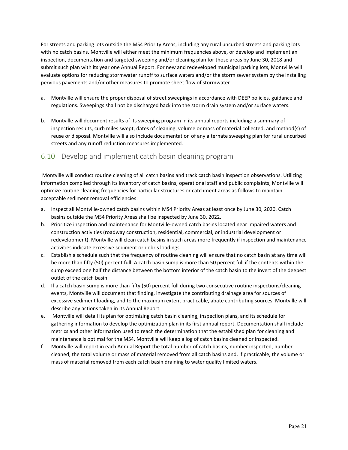For streets and parking lots outside the MS4 Priority Areas, including any rural uncurbed streets and parking lots with no catch basins, Montville will either meet the minimum frequencies above, or develop and implement an inspection, documentation and targeted sweeping and/or cleaning plan for those areas by June 30, 2018 and submit such plan with its year one Annual Report. For new and redeveloped municipal parking lots, Montville will evaluate options for reducing stormwater runoff to surface waters and/or the storm sewer system by the installing pervious pavements and/or other measures to promote sheet flow of stormwater.

- a. Montville will ensure the proper disposal of street sweepings in accordance with DEEP policies, guidance and regulations. Sweepings shall not be discharged back into the storm drain system and/or surface waters.
- b. Montville will document results of its sweeping program in its annual reports including: a summary of inspection results, curb miles swept, dates of cleaning, volume or mass of material collected, and method(s) of reuse or disposal. Montville will also include documentation of any alternate sweeping plan for rural uncurbed streets and any runoff reduction measures implemented.

# <span id="page-20-0"></span>6.10 Develop and implement catch basin cleaning program

Montville will conduct routine cleaning of all catch basins and track catch basin inspection observations. Utilizing information compiled through its inventory of catch basins, operational staff and public complaints, Montville will optimize routine cleaning frequencies for particular structures or catchment areas as follows to maintain acceptable sediment removal efficiencies:

- a. Inspect all Montville-owned catch basins within MS4 Priority Areas at least once by June 30, 2020. Catch basins outside the MS4 Priority Areas shall be inspected by June 30, 2022.
- b. Prioritize inspection and maintenance for Montville-owned catch basins located near impaired waters and construction activities (roadway construction, residential, commercial, or industrial development or redevelopment). Montville will clean catch basins in such areas more frequently if inspection and maintenance activities indicate excessive sediment or debris loadings.
- c. Establish a schedule such that the frequency of routine cleaning will ensure that no catch basin at any time will be more than fifty (50) percent full. A catch basin sump is more than 50 percent full if the contents within the sump exceed one half the distance between the bottom interior of the catch basin to the invert of the deepest outlet of the catch basin.
- d. If a catch basin sump is more than fifty (50) percent full during two consecutive routine inspections/cleaning events, Montville will document that finding, investigate the contributing drainage area for sources of excessive sediment loading, and to the maximum extent practicable, abate contributing sources. Montville will describe any actions taken in its Annual Report.
- e. Montville will detail its plan for optimizing catch basin cleaning, inspection plans, and its schedule for gathering information to develop the optimization plan in its first annual report. Documentation shall include metrics and other information used to reach the determination that the established plan for cleaning and maintenance is optimal for the MS4. Montville will keep a log of catch basins cleaned or inspected.
- f. Montville will report in each Annual Report the total number of catch basins, number inspected, number cleaned, the total volume or mass of material removed from all catch basins and, if practicable, the volume or mass of material removed from each catch basin draining to water quality limited waters.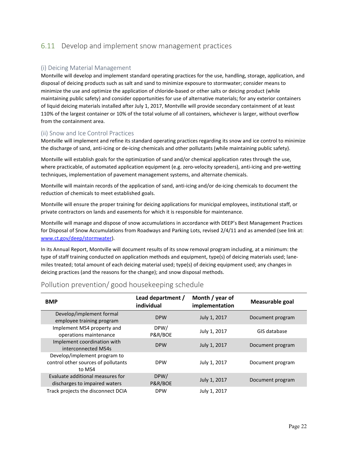# <span id="page-21-0"></span>6.11 Develop and implement snow management practices

#### <span id="page-21-1"></span>(i) Deicing Material Management

Montville will develop and implement standard operating practices for the use, handling, storage, application, and disposal of deicing products such as salt and sand to minimize exposure to stormwater; consider means to minimize the use and optimize the application of chloride-based or other salts or deicing product (while maintaining public safety) and consider opportunities for use of alternative materials; for any exterior containers of liquid deicing materials installed after July 1, 2017, Montville will provide secondary containment of at least 110% of the largest container or 10% of the total volume of all containers, whichever is larger, without overflow from the containment area.

#### <span id="page-21-2"></span>(ii) Snow and Ice Control Practices

Montville will implement and refine its standard operating practices regarding its snow and ice control to minimize the discharge of sand, anti-icing or de-icing chemicals and other pollutants (while maintaining public safety).

Montville will establish goals for the optimization of sand and/or chemical application rates through the use, where practicable, of automated application equipment (e.g. zero-velocity spreaders), anti-icing and pre-wetting techniques, implementation of pavement management systems, and alternate chemicals.

Montville will maintain records of the application of sand, anti-icing and/or de-icing chemicals to document the reduction of chemicals to meet established goals.

Montville will ensure the proper training for deicing applications for municipal employees, institutional staff, or private contractors on lands and easements for which it is responsible for maintenance.

Montville will manage and dispose of snow accumulations in accordance with DEEP's Best Management Practices for Disposal of Snow Accumulations from Roadways and Parking Lots, revised 2/4/11 and as amended (see link at: [www.ct.gov/deep/stormwater\)](http://www.ct.gov/deep/stormwater).

In its Annual Report, Montville will document results of its snow removal program including, at a minimum: the type of staff training conducted on application methods and equipment, type(s) of deicing materials used; lanemiles treated; total amount of each deicing material used; type(s) of deicing equipment used; any changes in deicing practices (and the reasons for the change); and snow disposal methods.

| <b>BMP</b>                                                                    | Lead department /<br>individual | Month / year of<br>implementation | Measurable goal  |
|-------------------------------------------------------------------------------|---------------------------------|-----------------------------------|------------------|
| Develop/implement formal<br>employee training program                         | <b>DPW</b>                      | July 1, 2017                      | Document program |
| Implement MS4 property and<br>operations maintenance                          | DPW/<br>P&R/BOE                 | July 1, 2017                      | GIS database     |
| Implement coordination with<br>interconnected MS4s                            | <b>DPW</b>                      | July 1, 2017                      | Document program |
| Develop/implement program to<br>control other sources of pollutants<br>to MS4 | <b>DPW</b>                      | July 1, 2017                      | Document program |
| Evaluate additional measures for<br>discharges to impaired waters             | DPW/<br>P&R/BOE                 | July 1, 2017                      | Document program |
| Track projects the disconnect DCIA                                            | <b>DPW</b>                      | July 1, 2017                      |                  |

### Pollution prevention/ good housekeeping schedule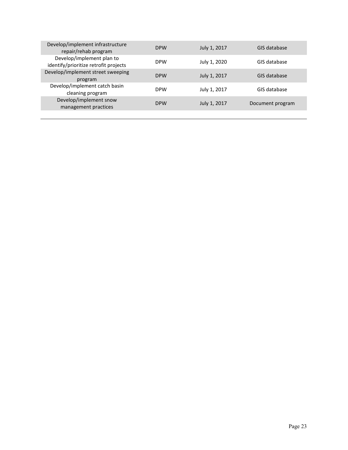| Develop/implement infrastructure<br>repair/rehab program           | <b>DPW</b> | July 1, 2017 | GIS database     |
|--------------------------------------------------------------------|------------|--------------|------------------|
| Develop/implement plan to<br>identify/prioritize retrofit projects | <b>DPW</b> | July 1, 2020 | GIS database     |
| Develop/implement street sweeping<br>program                       | <b>DPW</b> | July 1, 2017 | GIS database     |
| Develop/implement catch basin<br>cleaning program                  | <b>DPW</b> | July 1, 2017 | GIS database     |
| Develop/implement snow<br>management practices                     | <b>DPW</b> | July 1, 2017 | Document program |
|                                                                    |            |              |                  |